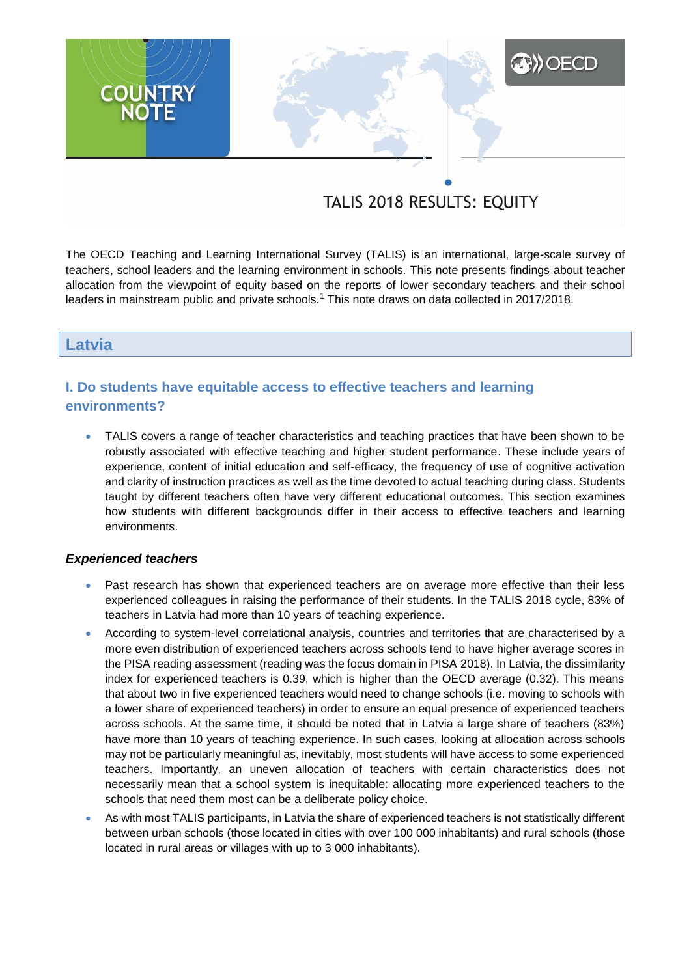# **A) OECD COUNTRY**

# TALIS 2018 RESULTS: EQUITY

The OECD Teaching and Learning International Survey (TALIS) is an international, large-scale survey of teachers, school leaders and the learning environment in schools. This note presents findings about teacher allocation from the viewpoint of equity based on the reports of lower secondary teachers and their school leaders in mainstream public and private schools.<sup>1</sup> This note draws on data collected in 2017/2018.

# **Latvia**

# **I. Do students have equitable access to effective teachers and learning environments?**

 TALIS covers a range of teacher characteristics and teaching practices that have been shown to be robustly associated with effective teaching and higher student performance. These include years of experience, content of initial education and self-efficacy, the frequency of use of cognitive activation and clarity of instruction practices as well as the time devoted to actual teaching during class. Students taught by different teachers often have very different educational outcomes. This section examines how students with different backgrounds differ in their access to effective teachers and learning environments.

#### *Experienced teachers*

- Past research has shown that experienced teachers are on average more effective than their less experienced colleagues in raising the performance of their students. In the TALIS 2018 cycle, 83% of teachers in Latvia had more than 10 years of teaching experience.
- According to system-level correlational analysis, countries and territories that are characterised by a more even distribution of experienced teachers across schools tend to have higher average scores in the PISA reading assessment (reading was the focus domain in PISA 2018). In Latvia, the dissimilarity index for experienced teachers is 0.39, which is higher than the OECD average (0.32). This means that about two in five experienced teachers would need to change schools (i.e. moving to schools with a lower share of experienced teachers) in order to ensure an equal presence of experienced teachers across schools. At the same time, it should be noted that in Latvia a large share of teachers (83%) have more than 10 years of teaching experience. In such cases, looking at allocation across schools may not be particularly meaningful as, inevitably, most students will have access to some experienced teachers. Importantly, an uneven allocation of teachers with certain characteristics does not necessarily mean that a school system is inequitable: allocating more experienced teachers to the schools that need them most can be a deliberate policy choice.
- As with most TALIS participants, in Latvia the share of experienced teachers is not statistically different between urban schools (those located in cities with over 100 000 inhabitants) and rural schools (those located in rural areas or villages with up to 3 000 inhabitants).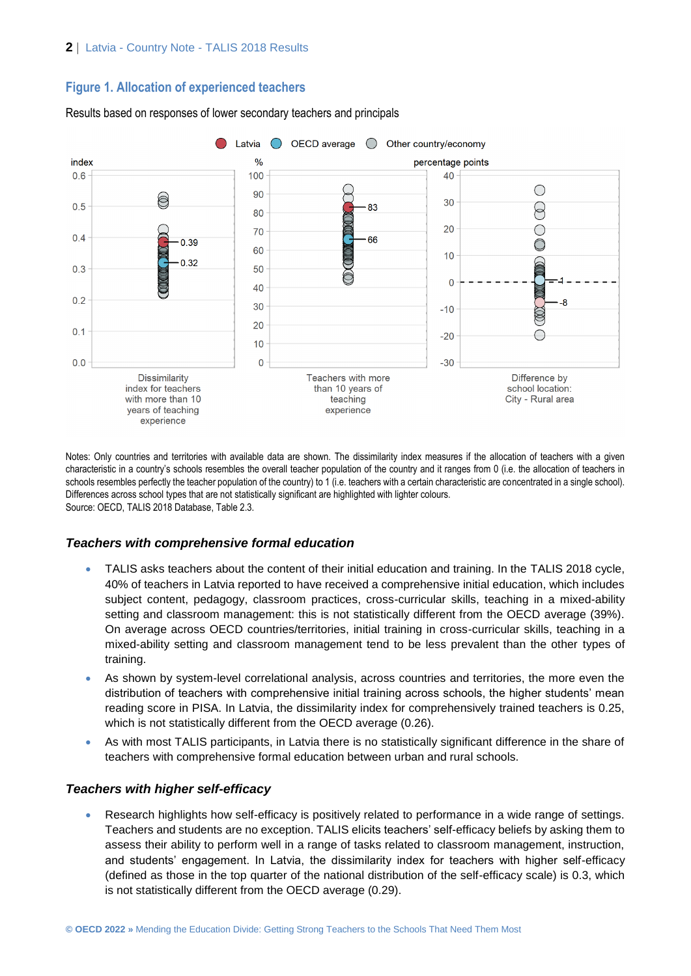# **Figure 1. Allocation of experienced teachers**



Results based on responses of lower secondary teachers and principals

Notes: Only countries and territories with available data are shown. The dissimilarity index measures if the allocation of teachers with a given characteristic in a country's schools resembles the overall teacher population of the country and it ranges from 0 (i.e. the allocation of teachers in schools resembles perfectly the teacher population of the country) to 1 (i.e. teachers with a certain characteristic are concentrated in a single school). Differences across school types that are not statistically significant are highlighted with lighter colours. Source: OECD, TALIS 2018 Database, Table 2.3.

# *Teachers with comprehensive formal education*

- TALIS asks teachers about the content of their initial education and training. In the TALIS 2018 cycle, 40% of teachers in Latvia reported to have received a comprehensive initial education, which includes subject content, pedagogy, classroom practices, cross-curricular skills, teaching in a mixed-ability setting and classroom management: this is not statistically different from the OECD average (39%). On average across OECD countries/territories, initial training in cross-curricular skills, teaching in a mixed-ability setting and classroom management tend to be less prevalent than the other types of training.
- As shown by system-level correlational analysis, across countries and territories, the more even the distribution of teachers with comprehensive initial training across schools, the higher students' mean reading score in PISA. In Latvia, the dissimilarity index for comprehensively trained teachers is 0.25, which is not statistically different from the OECD average (0.26).
- As with most TALIS participants, in Latvia there is no statistically significant difference in the share of teachers with comprehensive formal education between urban and rural schools.

# *Teachers with higher self-efficacy*

 Research highlights how self-efficacy is positively related to performance in a wide range of settings. Teachers and students are no exception. TALIS elicits teachers' self-efficacy beliefs by asking them to assess their ability to perform well in a range of tasks related to classroom management, instruction, and students' engagement. In Latvia, the dissimilarity index for teachers with higher self-efficacy (defined as those in the top quarter of the national distribution of the self-efficacy scale) is 0.3, which is not statistically different from the OECD average (0.29).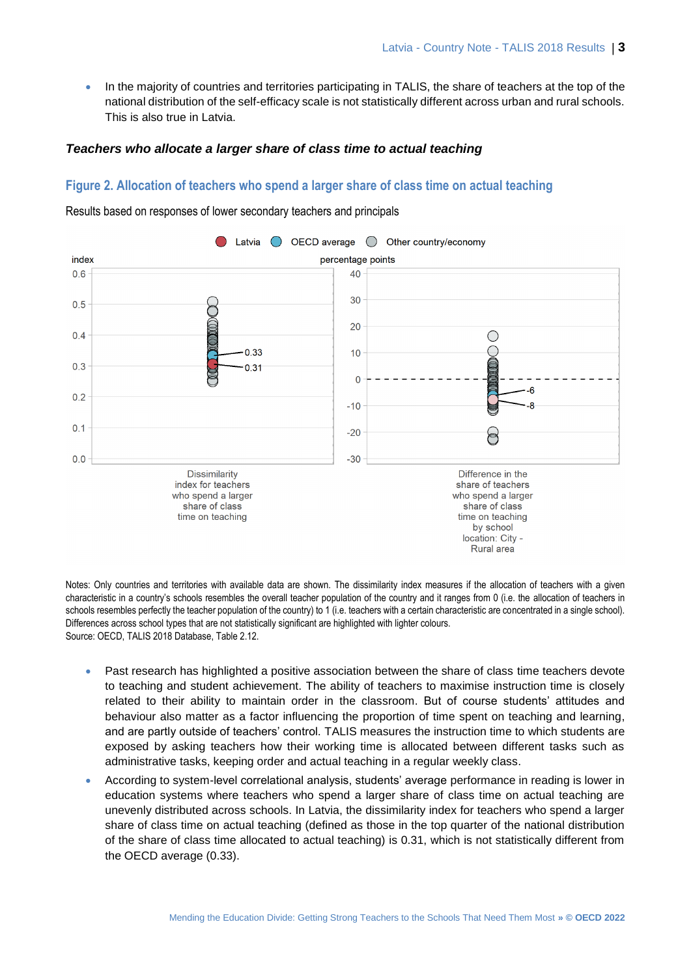In the majority of countries and territories participating in TALIS, the share of teachers at the top of the national distribution of the self-efficacy scale is not statistically different across urban and rural schools. This is also true in Latvia.

#### *Teachers who allocate a larger share of class time to actual teaching*

### **Figure 2. Allocation of teachers who spend a larger share of class time on actual teaching**



Results based on responses of lower secondary teachers and principals

Notes: Only countries and territories with available data are shown. The dissimilarity index measures if the allocation of teachers with a given characteristic in a country's schools resembles the overall teacher population of the country and it ranges from 0 (i.e. the allocation of teachers in schools resembles perfectly the teacher population of the country) to 1 (i.e. teachers with a certain characteristic are concentrated in a single school). Differences across school types that are not statistically significant are highlighted with lighter colours. Source: OECD, TALIS 2018 Database, Table 2.12.

- Past research has highlighted a positive association between the share of class time teachers devote to teaching and student achievement. The ability of teachers to maximise instruction time is closely related to their ability to maintain order in the classroom. But of course students' attitudes and behaviour also matter as a factor influencing the proportion of time spent on teaching and learning, and are partly outside of teachers' control. TALIS measures the instruction time to which students are exposed by asking teachers how their working time is allocated between different tasks such as administrative tasks, keeping order and actual teaching in a regular weekly class.
- According to system-level correlational analysis, students' average performance in reading is lower in education systems where teachers who spend a larger share of class time on actual teaching are unevenly distributed across schools. In Latvia, the dissimilarity index for teachers who spend a larger share of class time on actual teaching (defined as those in the top quarter of the national distribution of the share of class time allocated to actual teaching) is 0.31, which is not statistically different from the OECD average (0.33).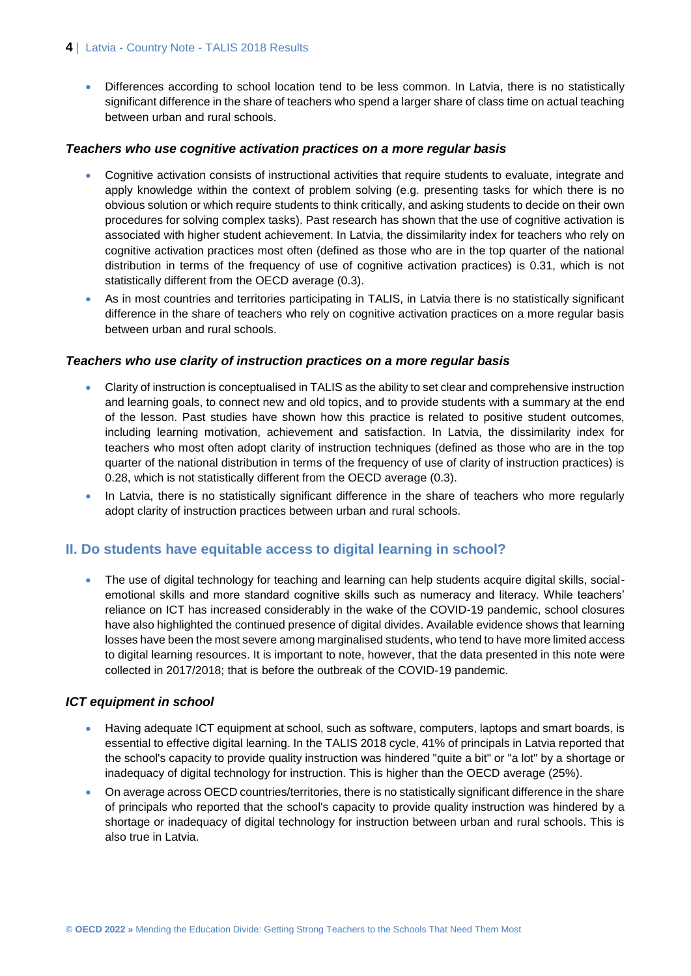#### **4** | Latvia - Country Note - TALIS 2018 Results

• Differences according to school location tend to be less common. In Latvia, there is no statistically significant difference in the share of teachers who spend a larger share of class time on actual teaching between urban and rural schools.

#### *Teachers who use cognitive activation practices on a more regular basis*

- Cognitive activation consists of instructional activities that require students to evaluate, integrate and apply knowledge within the context of problem solving (e.g. presenting tasks for which there is no obvious solution or which require students to think critically, and asking students to decide on their own procedures for solving complex tasks). Past research has shown that the use of cognitive activation is associated with higher student achievement. In Latvia, the dissimilarity index for teachers who rely on cognitive activation practices most often (defined as those who are in the top quarter of the national distribution in terms of the frequency of use of cognitive activation practices) is 0.31, which is not statistically different from the OECD average (0.3).
- As in most countries and territories participating in TALIS, in Latvia there is no statistically significant difference in the share of teachers who rely on cognitive activation practices on a more regular basis between urban and rural schools.

#### *Teachers who use clarity of instruction practices on a more regular basis*

- Clarity of instruction is conceptualised in TALIS as the ability to set clear and comprehensive instruction and learning goals, to connect new and old topics, and to provide students with a summary at the end of the lesson. Past studies have shown how this practice is related to positive student outcomes, including learning motivation, achievement and satisfaction. In Latvia, the dissimilarity index for teachers who most often adopt clarity of instruction techniques (defined as those who are in the top quarter of the national distribution in terms of the frequency of use of clarity of instruction practices) is 0.28, which is not statistically different from the OECD average (0.3).
- In Latvia, there is no statistically significant difference in the share of teachers who more regularly adopt clarity of instruction practices between urban and rural schools.

# **II. Do students have equitable access to digital learning in school?**

• The use of digital technology for teaching and learning can help students acquire digital skills, socialemotional skills and more standard cognitive skills such as numeracy and literacy. While teachers' reliance on ICT has increased considerably in the wake of the COVID-19 pandemic, school closures have also highlighted the continued presence of digital divides. Available evidence shows that learning losses have been the most severe among marginalised students, who tend to have more limited access to digital learning resources. It is important to note, however, that the data presented in this note were collected in 2017/2018; that is before the outbreak of the COVID-19 pandemic.

#### *ICT equipment in school*

- Having adequate ICT equipment at school, such as software, computers, laptops and smart boards, is essential to effective digital learning. In the TALIS 2018 cycle, 41% of principals in Latvia reported that the school's capacity to provide quality instruction was hindered "quite a bit" or "a lot" by a shortage or inadequacy of digital technology for instruction. This is higher than the OECD average (25%).
- On average across OECD countries/territories, there is no statistically significant difference in the share of principals who reported that the school's capacity to provide quality instruction was hindered by a shortage or inadequacy of digital technology for instruction between urban and rural schools. This is also true in Latvia.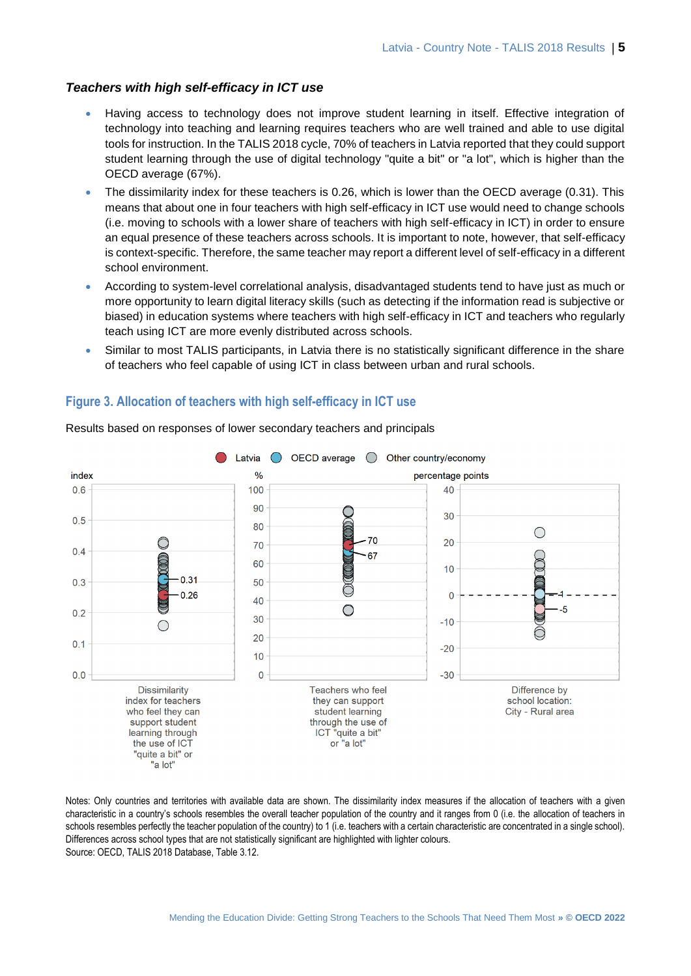#### *Teachers with high self-efficacy in ICT use*

- Having access to technology does not improve student learning in itself. Effective integration of technology into teaching and learning requires teachers who are well trained and able to use digital tools for instruction. In the TALIS 2018 cycle, 70% of teachers in Latvia reported that they could support student learning through the use of digital technology "quite a bit" or "a lot", which is higher than the OECD average (67%).
- The dissimilarity index for these teachers is 0.26, which is lower than the OECD average (0.31). This means that about one in four teachers with high self-efficacy in ICT use would need to change schools (i.e. moving to schools with a lower share of teachers with high self-efficacy in ICT) in order to ensure an equal presence of these teachers across schools. It is important to note, however, that self-efficacy is context-specific. Therefore, the same teacher may report a different level of self-efficacy in a different school environment.
- According to system-level correlational analysis, disadvantaged students tend to have just as much or more opportunity to learn digital literacy skills (such as detecting if the information read is subjective or biased) in education systems where teachers with high self-efficacy in ICT and teachers who regularly teach using ICT are more evenly distributed across schools.
- Similar to most TALIS participants, in Latvia there is no statistically significant difference in the share of teachers who feel capable of using ICT in class between urban and rural schools.

# **Figure 3. Allocation of teachers with high self-efficacy in ICT use**



Results based on responses of lower secondary teachers and principals

Notes: Only countries and territories with available data are shown. The dissimilarity index measures if the allocation of teachers with a given characteristic in a country's schools resembles the overall teacher population of the country and it ranges from 0 (i.e. the allocation of teachers in schools resembles perfectly the teacher population of the country) to 1 (i.e. teachers with a certain characteristic are concentrated in a single school). Differences across school types that are not statistically significant are highlighted with lighter colours. Source: OECD, TALIS 2018 Database, Table 3.12.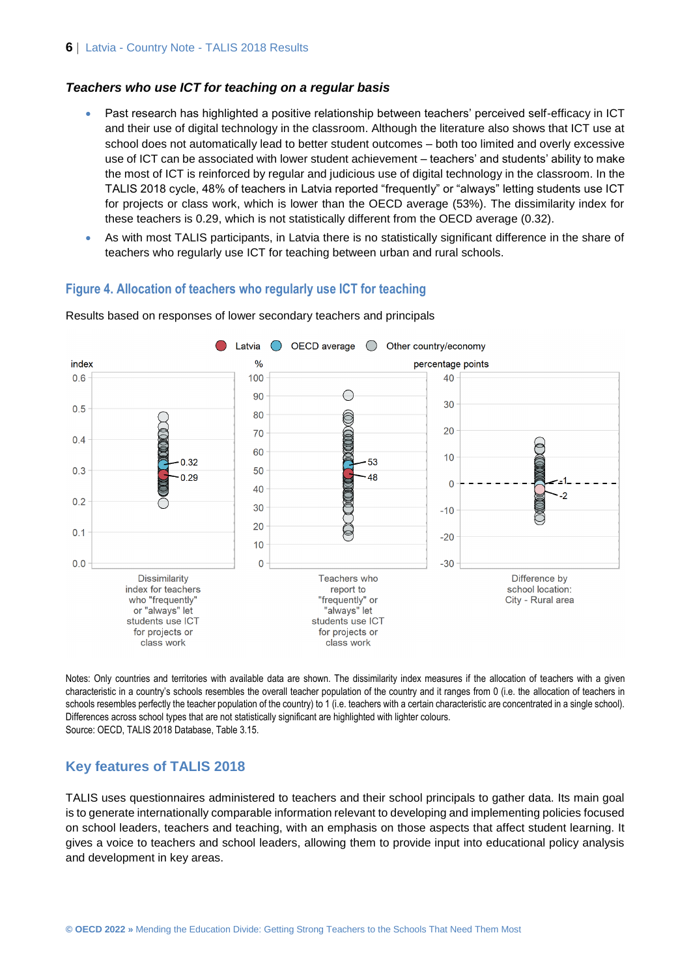#### *Teachers who use ICT for teaching on a regular basis*

- Past research has highlighted a positive relationship between teachers' perceived self-efficacy in ICT and their use of digital technology in the classroom. Although the literature also shows that ICT use at school does not automatically lead to better student outcomes – both too limited and overly excessive use of ICT can be associated with lower student achievement – teachers' and students' ability to make the most of ICT is reinforced by regular and judicious use of digital technology in the classroom. In the TALIS 2018 cycle, 48% of teachers in Latvia reported "frequently" or "always" letting students use ICT for projects or class work, which is lower than the OECD average (53%). The dissimilarity index for these teachers is 0.29, which is not statistically different from the OECD average (0.32).
- As with most TALIS participants, in Latvia there is no statistically significant difference in the share of teachers who regularly use ICT for teaching between urban and rural schools.

#### **Figure 4. Allocation of teachers who regularly use ICT for teaching**



Results based on responses of lower secondary teachers and principals

Notes: Only countries and territories with available data are shown. The dissimilarity index measures if the allocation of teachers with a given characteristic in a country's schools resembles the overall teacher population of the country and it ranges from 0 (i.e. the allocation of teachers in schools resembles perfectly the teacher population of the country) to 1 (i.e. teachers with a certain characteristic are concentrated in a single school). Differences across school types that are not statistically significant are highlighted with lighter colours. Source: OECD, TALIS 2018 Database, Table 3.15.

#### **Key features of TALIS 2018**

TALIS uses questionnaires administered to teachers and their school principals to gather data. Its main goal is to generate internationally comparable information relevant to developing and implementing policies focused on school leaders, teachers and teaching, with an emphasis on those aspects that affect student learning. It gives a voice to teachers and school leaders, allowing them to provide input into educational policy analysis and development in key areas.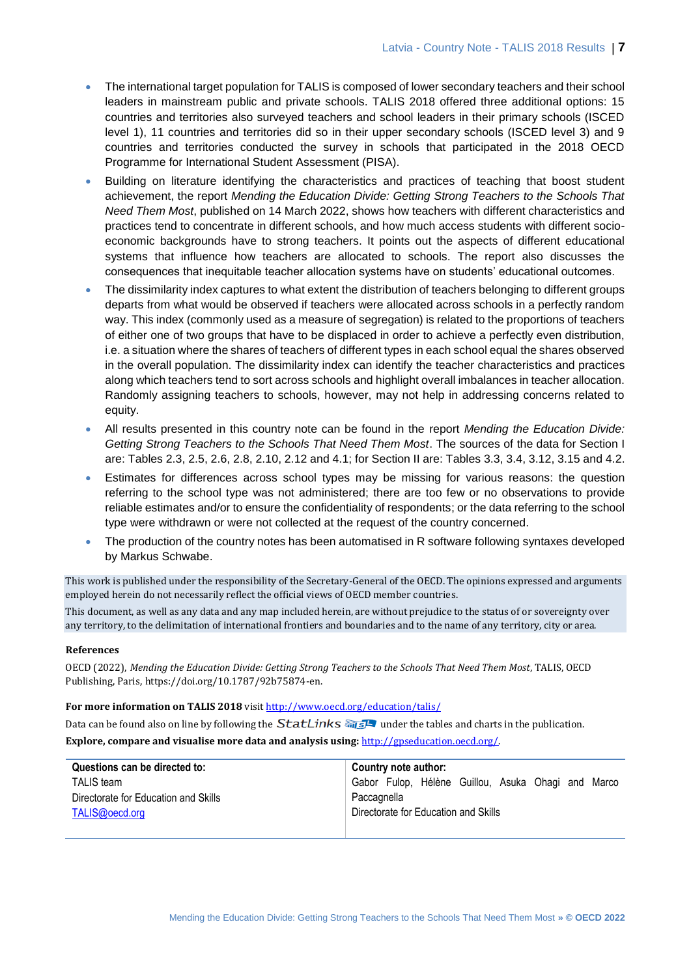- The international target population for TALIS is composed of lower secondary teachers and their school leaders in mainstream public and private schools. TALIS 2018 offered three additional options: 15 countries and territories also surveyed teachers and school leaders in their primary schools (ISCED level 1), 11 countries and territories did so in their upper secondary schools (ISCED level 3) and 9 countries and territories conducted the survey in schools that participated in the 2018 OECD Programme for International Student Assessment (PISA).
- Building on literature identifying the characteristics and practices of teaching that boost student achievement, the report *Mending the Education Divide: Getting Strong Teachers to the Schools That Need Them Most*, published on 14 March 2022, shows how teachers with different characteristics and practices tend to concentrate in different schools, and how much access students with different socioeconomic backgrounds have to strong teachers. It points out the aspects of different educational systems that influence how teachers are allocated to schools. The report also discusses the consequences that inequitable teacher allocation systems have on students' educational outcomes.
- The dissimilarity index captures to what extent the distribution of teachers belonging to different groups departs from what would be observed if teachers were allocated across schools in a perfectly random way. This index (commonly used as a measure of segregation) is related to the proportions of teachers of either one of two groups that have to be displaced in order to achieve a perfectly even distribution, i.e. a situation where the shares of teachers of different types in each school equal the shares observed in the overall population. The dissimilarity index can identify the teacher characteristics and practices along which teachers tend to sort across schools and highlight overall imbalances in teacher allocation. Randomly assigning teachers to schools, however, may not help in addressing concerns related to equity.
- All results presented in this country note can be found in the report *Mending the Education Divide: Getting Strong Teachers to the Schools That Need Them Most*. The sources of the data for Section I are: Tables 2.3, 2.5, 2.6, 2.8, 2.10, 2.12 and 4.1; for Section II are: Tables 3.3, 3.4, 3.12, 3.15 and 4.2.
- Estimates for differences across school types may be missing for various reasons: the question referring to the school type was not administered; there are too few or no observations to provide reliable estimates and/or to ensure the confidentiality of respondents; or the data referring to the school type were withdrawn or were not collected at the request of the country concerned.
- The production of the country notes has been automatised in R software following syntaxes developed by Markus Schwabe.

This work is published under the responsibility of the Secretary-General of the OECD. The opinions expressed and arguments employed herein do not necessarily reflect the official views of OECD member countries.

This document, as well as any data and any map included herein, are without prejudice to the status of or sovereignty over any territory, to the delimitation of international frontiers and boundaries and to the name of any territory, city or area.

#### **References**

OECD (2022), *Mending the Education Divide: Getting Strong Teachers to the Schools That Need Them Most*, TALIS, OECD Publishing, Paris, https://doi.org/10.1787/92b75874-en.

#### **For more information on TALIS 2018** visi[t http://www.oecd.org/education/talis/](http://www.oecd.org/education/talis/)

Data can be found also on line by following the  $StatLinks \frac{1}{\sqrt{2}}$  under the tables and charts in the publication.

**Explore, compare and visualise more data and analysis using:** [http://gpseducation.oecd.org/.](http://gpseducation.oecd.org/)

| Questions can be directed to:        | Country note author:                               |
|--------------------------------------|----------------------------------------------------|
| <b>TALIS</b> team                    | Gabor Fulop, Hélène Guillou, Asuka Ohagi and Marco |
| Directorate for Education and Skills | Paccagnella                                        |
| TALIS@oecd.org                       | Directorate for Education and Skills               |
|                                      |                                                    |